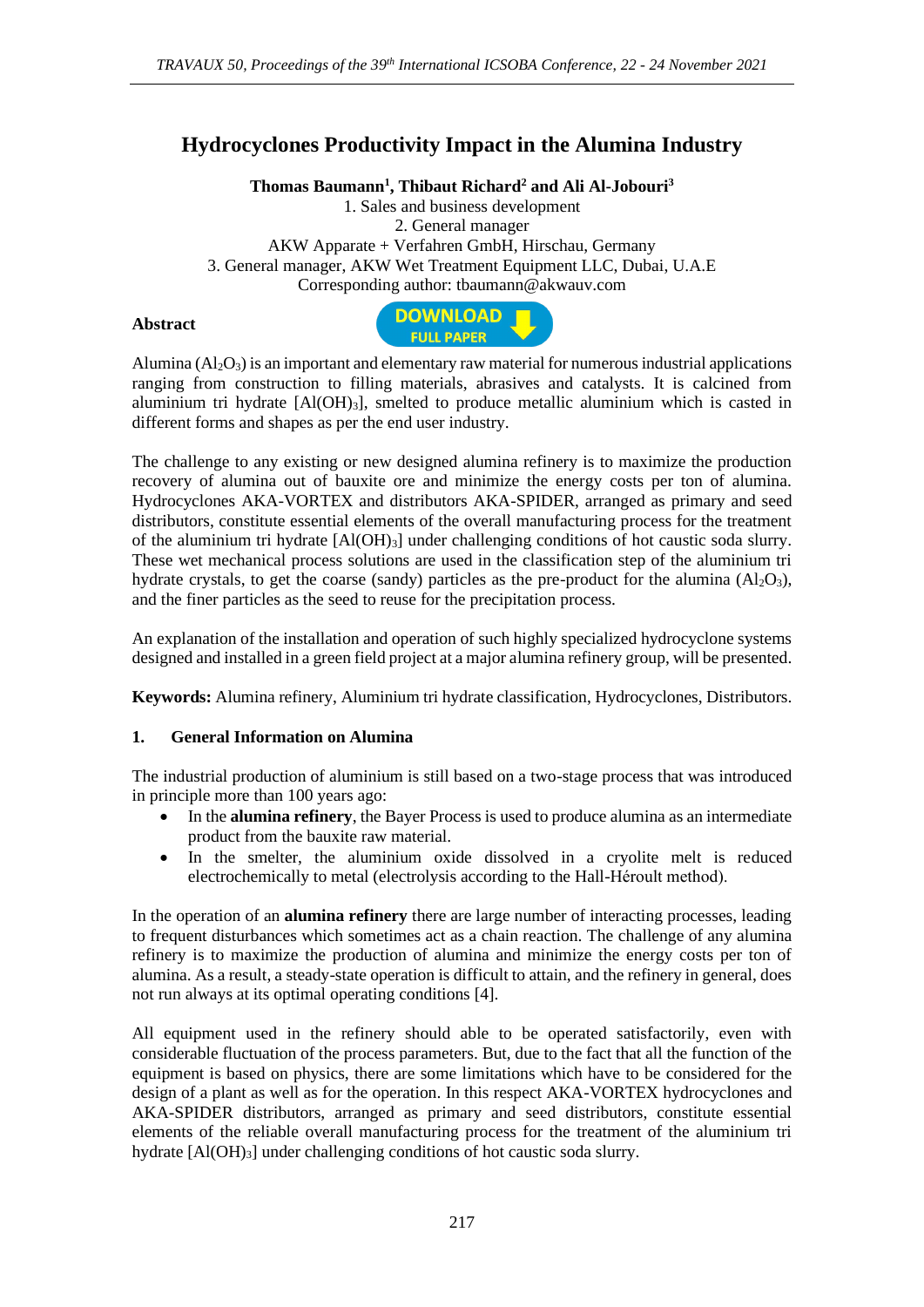# **Hydrocyclones Productivity Impact in the Alumina Industry**

**Thomas Baumann<sup>1</sup> , Thibaut Richard<sup>2</sup> and Ali Al-Jobouri<sup>3</sup>**

1. Sales and business development 2. General manager AKW Apparate + Verfahren GmbH, Hirschau, Germany 3. General manager, AKW Wet Treatment Equipment LLC, Dubai, U.A.E Corresponding author: tbaumann@akwauv.com

#### **Abstract**



Alumina  $(A<sub>2</sub>O<sub>3</sub>)$  is an important and elementary raw material for numerous industrial applications ranging from construction to filling materials, abrasives and catalysts. It is calcined from aluminium tri hydrate  $[A(OH)<sub>3</sub>]$ , smelted to produce metallic aluminium which is casted in different forms and shapes as per the end user industry.

The challenge to any existing or new designed alumina refinery is to maximize the production recovery of alumina out of bauxite ore and minimize the energy costs per ton of alumina. Hydrocyclones AKA-VORTEX and distributors AKA-SPIDER, arranged as primary and seed distributors, constitute essential elements of the overall manufacturing process for the treatment of the aluminium tri hydrate  $[A(OH)_3]$  under challenging conditions of hot caustic soda slurry. These wet mechanical process solutions are used in the classification step of the aluminium tri hydrate crystals, to get the coarse (sandy) particles as the pre-product for the alumina  $(A_2O_3)$ , and the finer particles as the seed to reuse for the precipitation process.

An explanation of the installation and operation of such highly specialized hydrocyclone systems designed and installed in a green field project at a major alumina refinery group, will be presented.

**Keywords:** Alumina refinery, Aluminium tri hydrate classification, Hydrocyclones, Distributors.

#### **1. General Information on Alumina**

The industrial production of aluminium is still based on a two-stage process that was introduced in principle more than 100 years ago:

- In the **alumina refinery**, the Bayer Process is used to produce alumina as an intermediate product from the bauxite raw material.
- In the smelter, the aluminium oxide dissolved in a cryolite melt is reduced electrochemically to metal (electrolysis according to the Hall-Héroult method).

In the operation of an **alumina refinery** there are large number of interacting processes, leading to frequent disturbances which sometimes act as a chain reaction. The challenge of any alumina refinery is to maximize the production of alumina and minimize the energy costs per ton of alumina. As a result, a steady-state operation is difficult to attain, and the refinery in general, does not run always at its optimal operating conditions [4].

All equipment used in the refinery should able to be operated satisfactorily, even with considerable fluctuation of the process parameters. But, due to the fact that all the function of the equipment is based on physics, there are some limitations which have to be considered for the design of a plant as well as for the operation. In this respect AKA-VORTEX hydrocyclones and AKA-SPIDER distributors, arranged as primary and seed distributors, constitute essential elements of the reliable overall manufacturing process for the treatment of the aluminium tri hydrate [Al(OH)<sub>3</sub>] under challenging conditions of hot caustic soda slurry.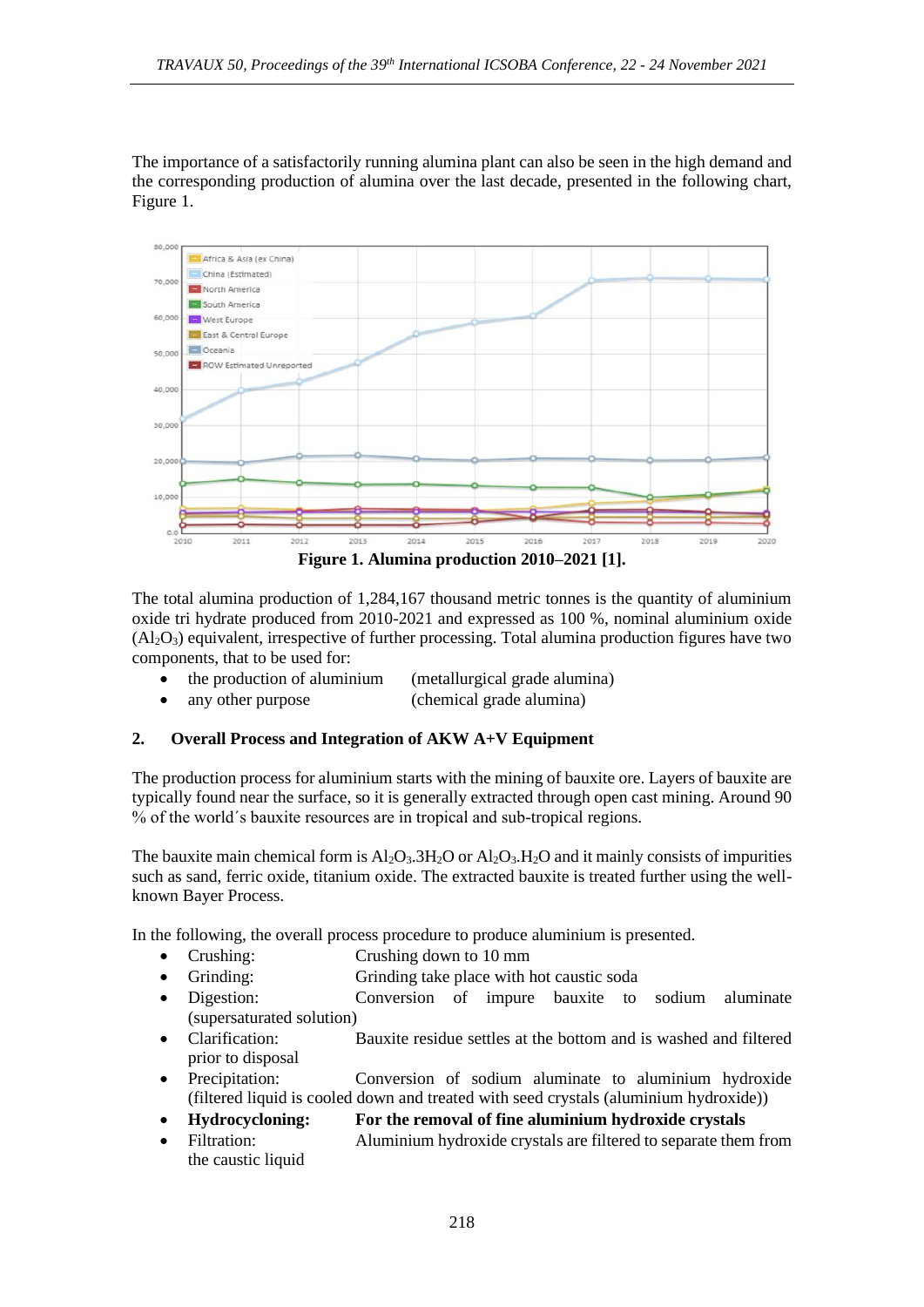The importance of a satisfactorily running alumina plant can also be seen in the high demand and the corresponding production of alumina over the last decade, presented in the following chart, Figure 1.



The total alumina production of 1,284,167 thousand metric tonnes is the quantity of aluminium oxide tri hydrate produced from 2010-2021 and expressed as 100 %, nominal aluminium oxide  $(A<sub>1</sub>, O<sub>3</sub>)$  equivalent, irrespective of further processing. Total alumina production figures have two components, that to be used for:

- the production of aluminium (metallurgical grade alumina)
- any other purpose (chemical grade alumina)

### **2. Overall Process and Integration of AKW A+V Equipment**

The production process for aluminium starts with the mining of bauxite ore. Layers of bauxite are typically found near the surface, so it is generally extracted through open cast mining. Around 90 % of the world´s bauxite resources are in tropical and sub-tropical regions.

The bauxite main chemical form is  $A1_2O_3.3H_2O$  or  $A1_2O_3.4H_2O$  and it mainly consists of impurities such as sand, ferric oxide, titanium oxide. The extracted bauxite is treated further using the wellknown Bayer Process.

In the following, the overall process procedure to produce aluminium is presented.

- Crushing: Crushing down to 10 mm
- Grinding: Grinding take place with hot caustic soda
- Digestion: Conversion of impure bauxite to sodium aluminate (supersaturated solution)
- Clarification: Bauxite residue settles at the bottom and is washed and filtered prior to disposal
- Precipitation: Conversion of sodium aluminate to aluminium hydroxide (filtered liquid is cooled down and treated with seed crystals (aluminium hydroxide))
- **Hydrocycloning: For the removal of fine aluminium hydroxide crystals**
- Filtration: Aluminium hydroxide crystals are filtered to separate them from the caustic liquid